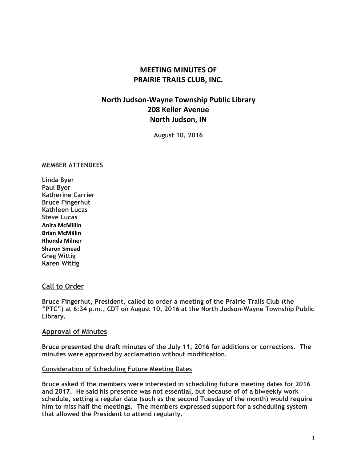## **MEETING MINUTES OF PRAIRIE TRAILS CLUB, INC.**

# **North Judson-Wayne Township Public Library 208 Keller Avenue North Judson, IN**

**August 10, 2016**

#### **MEMBER ATTENDEES**

**Linda Byer Paul Byer Katherine Carrier Bruce Fingerhut Kathleen Lucas Steve Lucas Anita McMillin Brian McMillin Rhonda Milner Sharon Smead Greg Wittig Karen Wittig**

## **Call to Order**

**Bruce Fingerhut, President, called to order a meeting of the Prairie Trails Club (the "PTC") at 6:34 p.m., CDT on August 10, 2016 at the North Judson-Wayne Township Public Library.**

#### **Approval of Minutes**

**Bruce presented the draft minutes of the July 11, 2016 for additions or corrections. The minutes were approved by acclamation without modification.**

#### **Consideration of Scheduling Future Meeting Dates**

**Bruce asked if the members were interested in scheduling future meeting dates for 2016 and 2017. He said his presence was not essential, but because of of a biweekly work schedule, setting a regular date (such as the second Tuesday of the month) would require him to miss half the meetings. The members expressed support for a scheduling system that allowed the President to attend regularly.**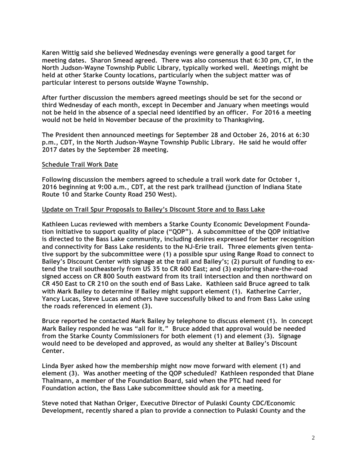**Karen Wittig said she believed Wednesday evenings were generally a good target for meeting dates. Sharon Smead agreed. There was also consensus that 6:30 pm, CT, in the North Judson-Wayne Township Public Library, typically worked well. Meetings might be held at other Starke County locations, particularly when the subject matter was of particular interest to persons outside Wayne Township.**

**After further discussion the members agreed meetings should be set for the second or third Wednesday of each month, except in December and January when meetings would not be held in the absence of a special need identified by an officer. For 2016 a meeting would not be held in November because of the proximity to Thanksgiving.**

**The President then announced meetings for September 28 and October 26, 2016 at 6:30 p.m., CDT, in the North Judson-Wayne Township Public Library. He said he would offer 2017 dates by the September 28 meeting.**

#### **Schedule Trail Work Date**

**Following discussion the members agreed to schedule a trail work date for October 1, 2016 beginning at 9:00 a.m., CDT, at the rest park trailhead (junction of Indiana State Route 10 and Starke County Road 250 West).**

#### **Update on Trail Spur Proposals to Bailey's Discount Store and to Bass Lake**

**Kathleen Lucas reviewed with members a Starke County Economic Development Foundation initiative to support quality of place ("QOP"). A subcommittee of the QOP initiative is directed to the Bass Lake community, including desires expressed for better recognition and connectivity for Bass Lake residents to the NJ-Erie trail. Three elements given tentative support by the subcommittee were (1) a possible spur using Range Road to connect to** Bailey's Discount Center with signage at the trail and Bailey's; (2) pursuit of funding to ex**tend the trail southeasterly from US 35 to CR 600 East; and (3) exploring share-the-road signed access on CR 800 South eastward from its trail intersection and then northward on CR 450 East to CR 210 on the south end of Bass Lake. Kathleen said Bruce agreed to talk with Mark Bailey to determine if Bailey might support element (1). Katherine Carrier, Yancy Lucas, Steve Lucas and others have successfully biked to and from Bass Lake using the roads referenced in element (3).**

**Bruce reported he contacted Mark Bailey by telephone to discuss element (1). In concept Mark Bailey responded he was "all for it." Bruce added that approval would be needed from the Starke County Commissioners for both element (1) and element (3). Signage would need to be developed and approved, as would any shelter at Bailey's Discount Center.**

**Linda Byer asked how the membership might now move forward with element (1) and element (3). Was another meeting of the QOP scheduled? Kathleen responded that Diane Thalmann, a member of the Foundation Board, said when the PTC had need for Foundation action, the Bass Lake subcommittee should ask for a meeting.**

**Steve noted that Nathan Origer, Executive Director of Pulaski County CDC/Economic Development, recently shared a plan to provide a connection to Pulaski County and the**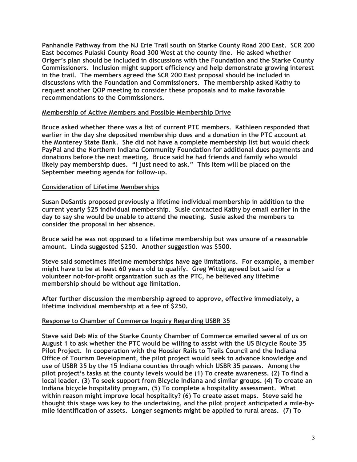**Panhandle Pathway from the NJ Erie Trail south on Starke County Road 200 East. SCR 200 East becomes Pulaski County Road 300 West at the county line. He asked whether Origer's plan should be included in discussions with the Foundation and the Starke County Commissioners. Inclusion might support efficiency and help demonstrate growing interest in the trail. The members agreed the SCR 200 East proposal should be included in discussions with the Foundation and Commissioners. The membership asked Kathy to request another QOP meeting to consider these proposals and to make favorable recommendations to the Commissioners.**

## **Membership of Active Members and Possible Membership Drive**

**Bruce asked whether there was a list of current PTC members. Kathleen responded that earlier in the day she deposited membership dues and a donation in the PTC account at the Monterey State Bank. She did not have a complete membership list but would check PayPal and the Northern Indiana Community Foundation for additional dues payments and donations before the next meeting. Bruce said he had friends and family who would likely pay membership dues. "I just need to ask." This item will be placed on the September meeting agenda for follow-up.**

## **Consideration of Lifetime Memberships**

**Susan DeSantis proposed previously a lifetime individual membership in addition to the current yearly \$25 individual membership. Susie contacted Kathy by email earlier in the day to say she would be unable to attend the meeting. Susie asked the members to consider the proposal in her absence.**

**Bruce said he was not opposed to a lifetime membership but was unsure of a reasonable amount. Linda suggested \$250. Another suggestion was \$500.** 

**Steve said sometimes lifetime memberships have age limitations. For example, a member might have to be at least 60 years old to qualify. Greg Wittig agreed but said for a volunteer not-for-profit organization such as the PTC, he believed any lifetime membership should be without age limitation.**

**After further discussion the membership agreed to approve, effective immediately, a lifetime individual membership at a fee of \$250.**

#### **Response to Chamber of Commerce Inquiry Regarding USBR 35**

**Steve said Deb Mix of the Starke County Chamber of Commerce emailed several of us on August 1 to ask whether the PTC would be willing to assist with the US Bicycle Route 35 Pilot Project. In cooperation with the Hoosier Rails to Trails Council and the Indiana Office of Tourism Development, the pilot project would seek to advance knowledge and use of USBR 35 by the 15 Indiana counties through which USBR 35 passes. Among the pilot project's tasks at the county levels would be (1) To create awareness. (2) To find a local leader. (3) To seek support from Bicycle Indiana and similar groups. (4) To create an Indiana bicycle hospitality program. (5) To complete a hospitality assessment. What within reason might improve local hospitality? (6) To create asset maps. Steve said he thought this stage was key to the undertaking, and the pilot project anticipated a mile-bymile identification of assets. Longer segments might be applied to rural areas. (7) To**